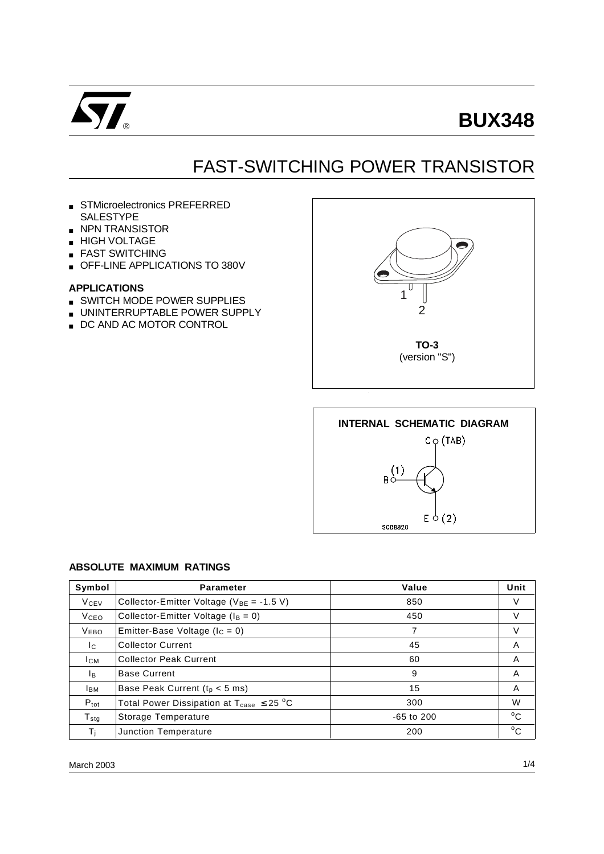

# **BUX348**

## FAST-SWITCHING POWER TRANSISTOR

- STMicroelectronics PREFERRED **SALESTYPE**
- NPN TRANSISTOR
- HIGH VOLTAGE
- FAST SWITCHING
- OFF-LINE APPLICATIONS TO 380V

#### **APPLICATIONS**

- SWITCH MODE POWER SUPPLIES
- UNINTERRUPTABLE POWER SUPPLY
- DC AND AC MOTOR CONTROL





#### **ABSOLUTE MAXIMUM RATINGS**

| Symbol                 | <b>Parameter</b>                                                | Value      | Unit         |
|------------------------|-----------------------------------------------------------------|------------|--------------|
| <b>V<sub>CEV</sub></b> | Collector-Emitter Voltage ( $V_{BE}$ = -1.5 V)                  | 850        | V            |
| V <sub>CEO</sub>       | Collector-Emitter Voltage ( $I_B = 0$ )                         | 450        | V            |
| <b>VEBO</b>            | Emitter-Base Voltage ( $I_c = 0$ )                              |            | V            |
| Ic.                    | <b>Collector Current</b>                                        | 45         | A            |
| Ісм                    | <b>Collector Peak Current</b>                                   | 60         | A            |
| Iв.                    | <b>Base Current</b>                                             | 9          | A            |
| <b>IBM</b>             | Base Peak Current ( $t_p < 5$ ms)                               | 15         | A            |
| $P_{\text{tot}}$       | Total Power Dissipation at $T_{\text{case}} \leq 25 \text{ °C}$ | 300        | W            |
| $T_{\sf sta}$          | Storage Temperature                                             | -65 to 200 | $^{\circ}$ C |
| Τi                     | Junction Temperature                                            | 200        | $^{\circ}$ C |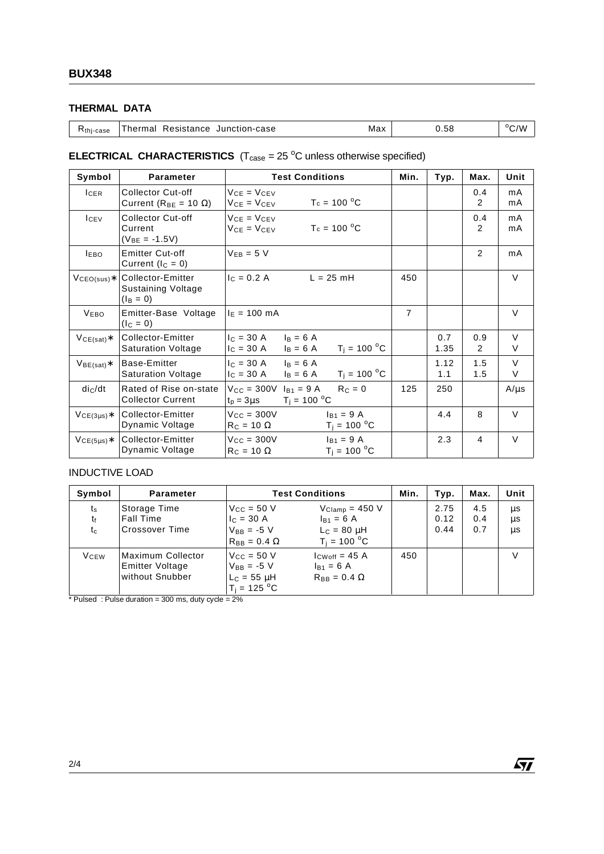### **THERMAL DATA**

| K <sub>thi-case</sub> | Thermal Resistance Junction-case | Max | 0.58 | $\rm ^{o}C/W$ |
|-----------------------|----------------------------------|-----|------|---------------|
|                       |                                  |     |      |               |

### **ELECTRICAL CHARACTERISTICS**  $(T_{\text{case}} = 25 \text{ °C}$  unless otherwise specified)

| Symbol           | Parameter                                                     | <b>Test Conditions</b>                                                                    | Min. | Typ.        | Max.       | Unit        |
|------------------|---------------------------------------------------------------|-------------------------------------------------------------------------------------------|------|-------------|------------|-------------|
| <b>ICER</b>      | Collector Cut-off<br>Current ( $R_{BE}$ = 10 $\Omega$ )       | $VCF = VCFV$<br>$T_c = 100 °C$<br>$V_{CE} = V_{CEV}$                                      |      |             | 0.4<br>2   | mA<br>mA    |
| I <sub>CEV</sub> | Collector Cut-off<br>Current<br>$(V_{BE} = -1.5V)$            | $V_{CF} = V_{CFV}$<br>$T_c = 100 °C$<br>$V_{CF} = V_{CFV}$                                |      |             | 0.4<br>2   | mA<br>mA    |
| <b>LEBO</b>      | <b>Emitter Cut-off</b><br>Current $(lC = 0)$                  | $V_{EB} = 5 V$                                                                            |      |             | 2          | mA          |
| $VCEO(sus)*$     | Collector-Emitter<br><b>Sustaining Voltage</b><br>$(I_B = 0)$ | $c = 0.2 A$<br>$L = 25$ mH                                                                | 450  |             |            | $\vee$      |
| <b>VEBO</b>      | Emitter-Base Voltage<br>$I_{\rm C} = 0$                       | $I_E = 100$ mA                                                                            | 7    |             |            | $\vee$      |
| $VCE(sat)*$      | Collector-Emitter<br><b>Saturation Voltage</b>                | $I_C = 30 A$<br>$I_B = 6 A$<br>$T_i = 100 °C$<br>$c = 30 A$<br>$I_B = 6 A$                |      | 0.7<br>1.35 | 0.9<br>2   | $\vee$<br>V |
| $VBE(sat)*$      | Base-Emitter<br><b>Saturation Voltage</b>                     | $I_{C} = 30 A$<br>$I_B = 6 A$<br>$T_i = 100 °C$<br>$I_{C} = 30 A$<br>$I_B = 6 A$          |      | 1.12<br>1.1 | 1.5<br>1.5 | $\vee$<br>V |
| $di_C/dt$        | Rated of Rise on-state<br><b>Collector Current</b>            | $V_{\text{CC}} = 300V$<br>$R_C = 0$<br>$I_{B1} = 9 A$<br>$T_i = 100 °C$<br>$t_p = 3\mu s$ | 125  | 250         |            | $A/\mu s$   |
| $VCE(3\mu s)*$   | Collector-Emitter<br>Dynamic Voltage                          | $V_{CC} = 300V$<br>$I_{B1} = 9 A$<br>$T_i = 100 °C$<br>$R_C = 10 \Omega$                  |      | 4.4         | 8          | $\vee$      |
| $VCE(5\mu s)*$   | Collector-Emitter<br>Dynamic Voltage                          | $V_{\text{CC}} = 300V$<br>$I_{B1} = 9 A$<br>$T_i = 100 °C$<br>$R_C = 10 \Omega$           |      | 2.3         | 4          | $\vee$      |

### INDUCTIVE LOAD

| Symbol                     | <b>Parameter</b>                                               | <b>Test Conditions</b>                                                                  |                                                                             | Min. | Typ.                 | Max.              | Unit           |
|----------------------------|----------------------------------------------------------------|-----------------------------------------------------------------------------------------|-----------------------------------------------------------------------------|------|----------------------|-------------------|----------------|
| $t_{\rm s}$<br>tŧ<br>$t_c$ | Storage Time<br><b>Fall Time</b><br><b>Crossover Time</b>      | $V_{CC}$ = 50 V<br>$c = 30 A$<br>$V_{BB} = -5 V$<br>$R_{BB} = 0.4 \Omega$               | $V_{Clamp} = 450 V$<br>$I_{B1} = 6 A$<br>$L_c = 80 \mu H$<br>$T_i = 100 °C$ |      | 2.75<br>0.12<br>0.44 | 4.5<br>0.4<br>0.7 | μs<br>μs<br>μs |
| <b>V</b> <sub>CEW</sub>    | Maximum Collector<br><b>Emitter Voltage</b><br>without Snubber | $V_{CC} = 50 V$<br>$V_{BB} = -5 V$<br>$\mathsf{L}_\mathsf{C} = 55$ µH<br>$T_i = 125 °C$ | $I_{CWoff}$ = 45 A<br>$I_{B1} = 6 A$<br>$R_{BB} = 0.4 \Omega$               | 450  |                      |                   |                |

 $*$  Pulsed : Pulse duration = 300 ms, duty cycle = 2%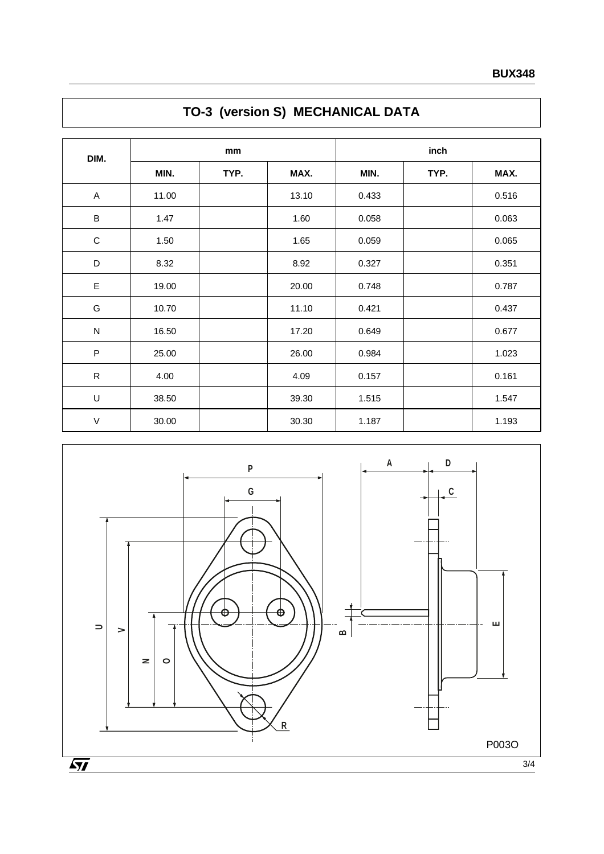| DIM.        | mm    |      |       | inch  |      |       |  |
|-------------|-------|------|-------|-------|------|-------|--|
|             | MIN.  | TYP. | MAX.  | MIN.  | TYP. | MAX.  |  |
| A           | 11.00 |      | 13.10 | 0.433 |      | 0.516 |  |
| $\sf B$     | 1.47  |      | 1.60  | 0.058 |      | 0.063 |  |
| $\mathsf C$ | 1.50  |      | 1.65  | 0.059 |      | 0.065 |  |
| D           | 8.32  |      | 8.92  | 0.327 |      | 0.351 |  |
| $\mathsf E$ | 19.00 |      | 20.00 | 0.748 |      | 0.787 |  |
| G           | 10.70 |      | 11.10 | 0.421 |      | 0.437 |  |
| N           | 16.50 |      | 17.20 | 0.649 |      | 0.677 |  |
| ${\sf P}$   | 25.00 |      | 26.00 | 0.984 |      | 1.023 |  |
| ${\sf R}$   | 4.00  |      | 4.09  | 0.157 |      | 0.161 |  |
| $\mathsf U$ | 38.50 |      | 39.30 | 1.515 |      | 1.547 |  |
| $\mathsf V$ | 30.00 |      | 30.30 | 1.187 |      | 1.193 |  |

## **TO-3 (version S) MECHANICAL DATA**